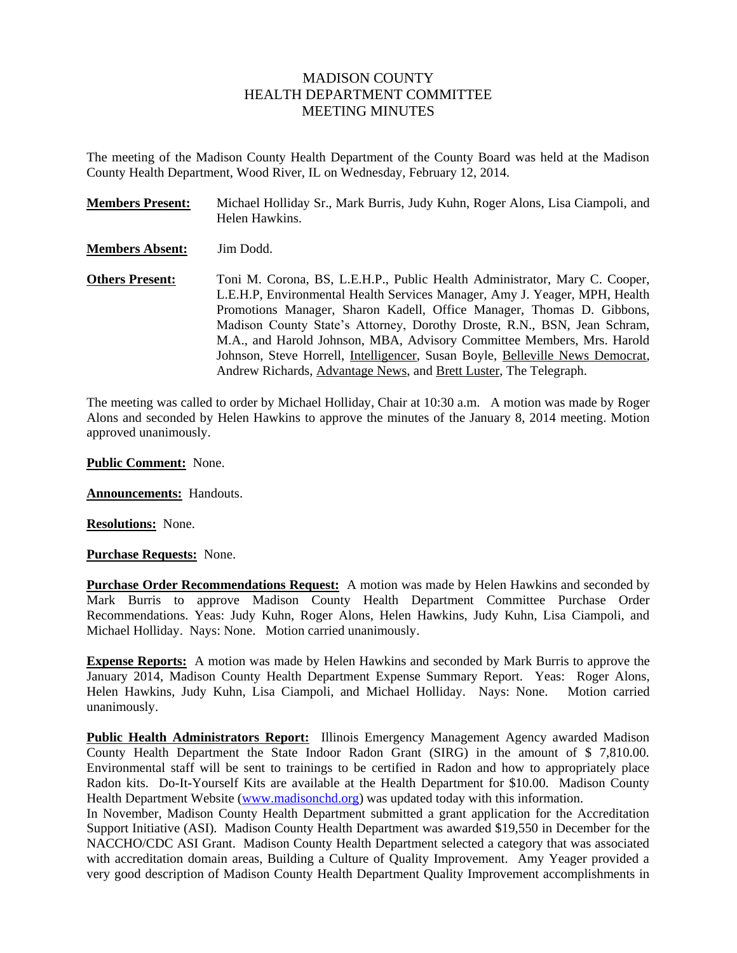# MADISON COUNTY HEALTH DEPARTMENT COMMITTEE MEETING MINUTES

The meeting of the Madison County Health Department of the County Board was held at the Madison County Health Department, Wood River, IL on Wednesday, February 12, 2014.

| <b>Members Present:</b> | Michael Holliday Sr., Mark Burris, Judy Kuhn, Roger Alons, Lisa Ciampoli, and<br>Helen Hawkins.                                                                                                                                                                                                                                                                                                                                                                                                                                               |
|-------------------------|-----------------------------------------------------------------------------------------------------------------------------------------------------------------------------------------------------------------------------------------------------------------------------------------------------------------------------------------------------------------------------------------------------------------------------------------------------------------------------------------------------------------------------------------------|
| <b>Members Absent:</b>  | Jim Dodd.                                                                                                                                                                                                                                                                                                                                                                                                                                                                                                                                     |
| <b>Others Present:</b>  | Toni M. Corona, BS, L.E.H.P., Public Health Administrator, Mary C. Cooper,<br>L.E.H.P, Environmental Health Services Manager, Amy J. Yeager, MPH, Health<br>Promotions Manager, Sharon Kadell, Office Manager, Thomas D. Gibbons,<br>Madison County State's Attorney, Dorothy Droste, R.N., BSN, Jean Schram,<br>M.A., and Harold Johnson, MBA, Advisory Committee Members, Mrs. Harold<br>Johnson, Steve Horrell, Intelligencer, Susan Boyle, Belleville News Democrat,<br>Andrew Richards, Advantage News, and Brett Luster, The Telegraph. |

The meeting was called to order by Michael Holliday, Chair at 10:30 a.m. A motion was made by Roger Alons and seconded by Helen Hawkins to approve the minutes of the January 8, 2014 meeting. Motion approved unanimously.

**Public Comment:** None.

**Announcements:** Handouts.

**Resolutions:** None.

**Purchase Requests:** None.

**Purchase Order Recommendations Request:** A motion was made by Helen Hawkins and seconded by Mark Burris to approve Madison County Health Department Committee Purchase Order Recommendations. Yeas: Judy Kuhn, Roger Alons, Helen Hawkins, Judy Kuhn, Lisa Ciampoli, and Michael Holliday. Nays: None. Motion carried unanimously.

**Expense Reports:** A motion was made by Helen Hawkins and seconded by Mark Burris to approve the January 2014, Madison County Health Department Expense Summary Report. Yeas: Roger Alons, Helen Hawkins, Judy Kuhn, Lisa Ciampoli, and Michael Holliday. Nays: None. Motion carried unanimously.

**Public Health Administrators Report:** Illinois Emergency Management Agency awarded Madison County Health Department the State Indoor Radon Grant (SIRG) in the amount of \$ 7,810.00. Environmental staff will be sent to trainings to be certified in Radon and how to appropriately place Radon kits. Do-It-Yourself Kits are available at the Health Department for \$10.00. Madison County Health Department Website [\(www.madisonchd.org\)](http://www.madisonchd.org/) was updated today with this information.

In November, Madison County Health Department submitted a grant application for the Accreditation Support Initiative (ASI). Madison County Health Department was awarded \$19,550 in December for the NACCHO/CDC ASI Grant. Madison County Health Department selected a category that was associated with accreditation domain areas, Building a Culture of Quality Improvement. Amy Yeager provided a very good description of Madison County Health Department Quality Improvement accomplishments in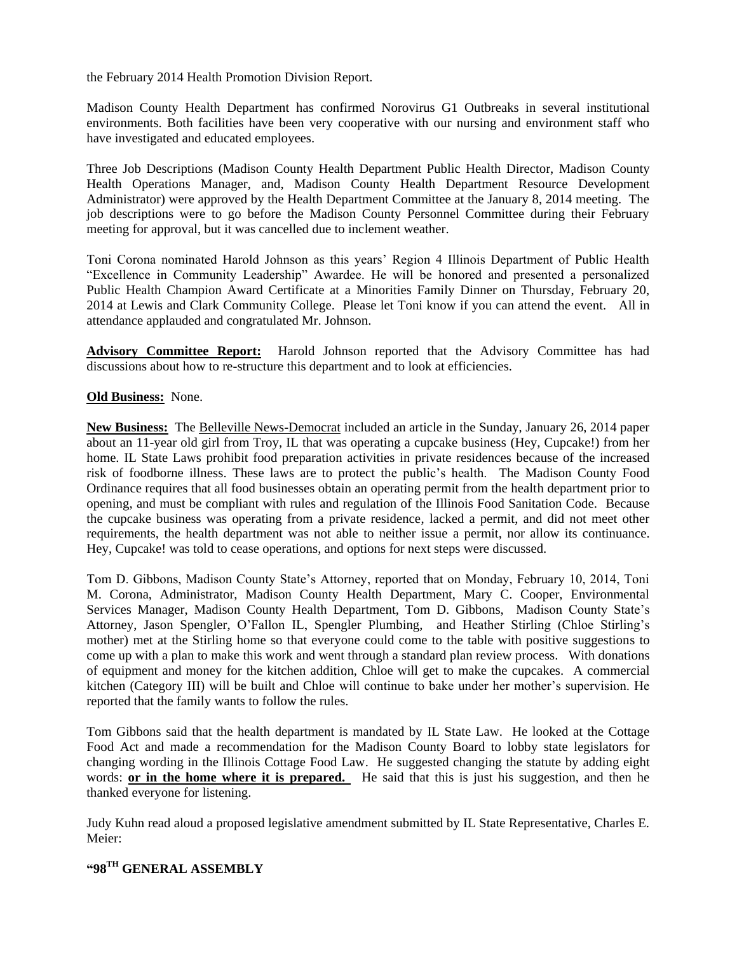the February 2014 Health Promotion Division Report.

Madison County Health Department has confirmed Norovirus G1 Outbreaks in several institutional environments. Both facilities have been very cooperative with our nursing and environment staff who have investigated and educated employees.

Three Job Descriptions (Madison County Health Department Public Health Director, Madison County Health Operations Manager, and, Madison County Health Department Resource Development Administrator) were approved by the Health Department Committee at the January 8, 2014 meeting. The job descriptions were to go before the Madison County Personnel Committee during their February meeting for approval, but it was cancelled due to inclement weather.

Toni Corona nominated Harold Johnson as this years' Region 4 Illinois Department of Public Health "Excellence in Community Leadership" Awardee. He will be honored and presented a personalized Public Health Champion Award Certificate at a Minorities Family Dinner on Thursday, February 20, 2014 at Lewis and Clark Community College. Please let Toni know if you can attend the event. All in attendance applauded and congratulated Mr. Johnson.

**Advisory Committee Report:** Harold Johnson reported that the Advisory Committee has had discussions about how to re-structure this department and to look at efficiencies.

## **Old Business:** None.

**New Business:** The Belleville News-Democrat included an article in the Sunday, January 26, 2014 paper about an 11-year old girl from Troy, IL that was operating a cupcake business (Hey, Cupcake!) from her home. IL State Laws prohibit food preparation activities in private residences because of the increased risk of foodborne illness. These laws are to protect the public's health. The Madison County Food Ordinance requires that all food businesses obtain an operating permit from the health department prior to opening, and must be compliant with rules and regulation of the Illinois Food Sanitation Code. Because the cupcake business was operating from a private residence, lacked a permit, and did not meet other requirements, the health department was not able to neither issue a permit, nor allow its continuance. Hey, Cupcake! was told to cease operations, and options for next steps were discussed.

Tom D. Gibbons, Madison County State's Attorney, reported that on Monday, February 10, 2014, Toni M. Corona, Administrator, Madison County Health Department, Mary C. Cooper, Environmental Services Manager, Madison County Health Department, Tom D. Gibbons, Madison County State's Attorney, Jason Spengler, O'Fallon IL, Spengler Plumbing, and Heather Stirling (Chloe Stirling's mother) met at the Stirling home so that everyone could come to the table with positive suggestions to come up with a plan to make this work and went through a standard plan review process. With donations of equipment and money for the kitchen addition, Chloe will get to make the cupcakes. A commercial kitchen (Category III) will be built and Chloe will continue to bake under her mother's supervision. He reported that the family wants to follow the rules.

Tom Gibbons said that the health department is mandated by IL State Law. He looked at the Cottage Food Act and made a recommendation for the Madison County Board to lobby state legislators for changing wording in the Illinois Cottage Food Law. He suggested changing the statute by adding eight words: **or in the home where it is prepared.** He said that this is just his suggestion, and then he thanked everyone for listening.

Judy Kuhn read aloud a proposed legislative amendment submitted by IL State Representative, Charles E. Meier:

# **"98TH GENERAL ASSEMBLY**